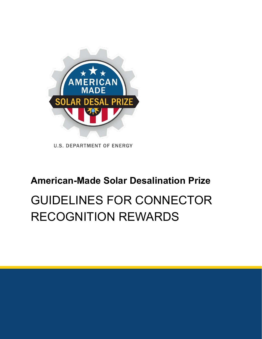

**U.S. DEPARTMENT OF ENERGY** 

## **American-Made Solar Desalination Prize**

# GUIDELINES FOR CONNECTOR RECOGNITION REWARDS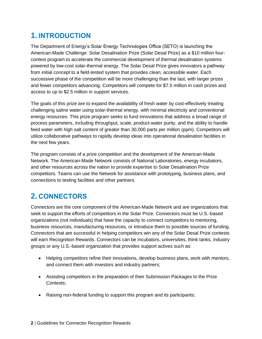### **1. INTRODUCTION**

The Department of Energy's Solar Energy Technologies Office (SETO) is launching the American-Made Challenge: Solar Desalination Prize (Solar Desal Prize) as a \$10 million fourcontest program to accelerate the commercial development of thermal desalination systems powered by low-cost solar-thermal energy. The Solar Desal Prize gives innovators a pathway from initial concept to a field-tested system that provides clean, accessible water. Each successive phase of the competition will be more challenging than the last, with larger prizes and fewer competitors advancing. Competitors will compete for \$7.5 million in cash prizes and access to up to \$2.5 million in support services.

The goals of this prize are to expand the availability of fresh water by cost-effectively treating challenging saline water using solar-thermal energy, with minimal electricity and conventional energy resources. This prize program seeks to fund innovations that address a broad range of process parameters, including throughput, scale, product-water purity, and the ability to handle feed water with high salt content of greater than 30,000 parts per million (ppm). Competitors will utilize collaborative pathways to rapidly develop ideas into operational desalination facilities in the next few years.

The program consists of a prize competition and the development of the American-Made Network. The American-Made Network consists of National Laboratories, energy incubators, and other resources across the nation to provide expertise to Solar Desalination Prize competitors. Teams can use the Network for assistance with prototyping, business plans, and connections to testing facilities and other partners.

### **2. CONNECTORS**

Connectors are the core component of the American-Made Network and are organizations that seek to support the efforts of competitors in the Solar Prize. Connectors must be U.S.-based organizations (not individuals) that have the capacity to connect competitors to mentoring, business resources, manufacturing resources, or introduce them to possible sources of funding. Connectors that are successful in helping competitors win any of the Solar Desal Prize contests will earn Recognition Rewards. Connectors can be incubators, universities, think tanks, industry groups or any U.S.-based organization that provides support actives such as:

- Helping competitors refine their innovations, develop business plans, work with mentors, and connect them with investors and industry partners;
- Assisting competitors in the preparation of their Submission Packages to the Prize Contests;
- Raising non-federal funding to support this program and its participants;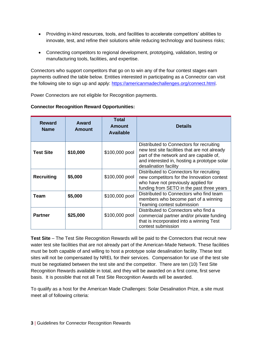- Providing in-kind resources, tools, and facilities to accelerate competitors' abilities to innovate, test, and refine their solutions while reducing technology and business risks;
- Connecting competitors to regional development, prototyping, validation, testing or manufacturing tools, facilities, and expertise.

Connectors who support competitors that go on to win any of the four contest stages earn payments outlined the table below. Entities interested in participating as a Connector can visit the following site to sign up and apply: [https://americanmadechallenges.org/connect.html.](https://americanmadechallenges.org/connect.html)

Power Connectors are not eligible for Recognition payments.

| <b>Reward</b><br><b>Name</b> | Award<br>Amount | Total<br>Amount<br><b>Available</b> | <b>Details</b>                                                                                                                                                                                                |
|------------------------------|-----------------|-------------------------------------|---------------------------------------------------------------------------------------------------------------------------------------------------------------------------------------------------------------|
| <b>Test Site</b>             | \$10,000        | \$100,000 pool                      | Distributed to Connectors for recruiting<br>new test site facilities that are not already<br>part of the network and are capable of,<br>and interested in, hosting a prototype solar<br>desalination facility |
| <b>Recruiting</b>            | \$5,000         | \$100,000 pool                      | Distributed to Connectors for recruiting<br>new competitors for the Innovation contest<br>who have not previously applied for<br>funding from SETO in the past three years                                    |
| Team                         | \$5,000         | \$100,000 pool                      | Distributed to Connectors who find team<br>members who become part of a winning<br>Teaming contest submission                                                                                                 |
| <b>Partner</b>               | \$25,000        | \$100,000 pool                      | Distributed to Connectors who find a<br>commercial partner and/or private funding<br>that is incorporated into a winning Test<br>contest submission                                                           |

#### **Connector Recognition Reward Opportunities:**

**Test Site** – The Test Site Recognition Rewards will be paid to the Connectors that recruit new water test site facilities that are not already part of the American-Made Network. These facilities must be both capable of and willing to host a prototype solar desalination facility. These test sites will not be compensated by NREL for their services. Compensation for use of the test site must be negotiated between the test site and the competitor. There are ten (10) Test Site Recognition Rewards available in total, and they will be awarded on a first come, first serve basis. It is possible that not all Test Site Recognition Awards will be awarded.

To qualify as a host for the American Made Challenges: Solar Desalination Prize, a site must meet all of following criteria: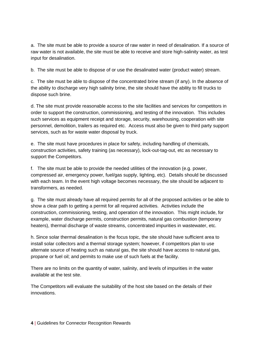a. The site must be able to provide a source of raw water in need of desalination. If a source of raw water is not available, the site must be able to receive and store high-salinity water, as test input for desalination.

b. The site must be able to dispose of or use the desalinated water (product water) stream.

c. The site must be able to dispose of the concentrated brine stream (if any). In the absence of the ability to discharge very high salinity brine, the site should have the ability to fill trucks to dispose such brine.

d. The site must provide reasonable access to the site facilities and services for competitors in order to support the construction, commissioning, and testing of the innovation. This includes such services as equipment receipt and storage, security, warehousing, cooperation with site personnel, demolition, trailers as required etc. Access must also be given to third party support services, such as for waste water disposal by truck.

e. The site must have procedures in place for safety, including handling of chemicals, construction activities, safety training (as necessary), lock-out-tag-out, etc as necessary to support the Competitors.

f. The site must be able to provide the needed utilities of the innovation (e.g. power, compressed air, emergency power, fuel/gas supply, lighting, etc). Details should be discussed with each team. In the event high voltage becomes necessary, the site should be adjacent to transformers, as needed.

g. The site must already have all required permits for all of the proposed activities or be able to show a clear path to getting a permit for all required activities. Activities include the construction, commissioning, testing, and operation of the innovation. This might include, for example, water discharge permits, construction permits, natural gas combustion (temporary heaters), thermal discharge of waste streams, concentrated impurities in wastewater, etc.

h. Since solar thermal desalination is the focus topic, the site should have sufficient area to install solar collectors and a thermal storage system; however, if competitors plan to use alternate source of heating such as natural gas, the site should have access to natural gas, propane or fuel oil; and permits to make use of such fuels at the facility.

There are no limits on the quantity of water, salinity, and levels of impurities in the water available at the test site.

The Competitors will evaluate the suitability of the host site based on the details of their innovations.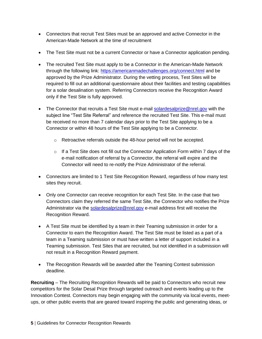- Connectors that recruit Test Sites must be an approved and active Connector in the American-Made Network at the time of recruitment
- The Test Site must not be a current Connector or have a Connector application pending.
- The recruited Test Site must apply to be a Connector in the American-Made Network through the following link:<https://americanmadechallenges.org/connect.html> and be approved by the Prize Administrator. During the vetting process, Test Sites will be required to fill out an additional questionnaire about their facilities and testing capabilities for a solar desalination system. Referring Connectors receive the Recognition Award only if the Test Site is fully approved.
- The Connector that recruits a Test Site must e-mail [solardesalprize@nrel.gov](mailto:solardesalprize@nrel.gov) with the subject line "Test Site Referral" and reference the recruited Test Site. This e-mail must be received no more than 7 calendar days prior to the Test Site applying to be a Connector or within 48 hours of the Test Site applying to be a Connector.
	- $\circ$  Retroactive referrals outside the 48-hour period will not be accepted.
	- $\circ$  If a Test Site does not fill out the Connector Application Form within 7 days of the e-mail notification of referral by a Connector, the referral will expire and the Connector will need to re-notify the Prize Administrator of the referral.
- Connectors are limited to 1 Test Site Recognition Reward, regardless of how many test sites they recruit.
- Only one Connector can receive recognition for each Test Site. In the case that two Connectors claim they referred the same Test Site, the Connector who notifies the Prize Administrator via the [solardesalprize@nrel.gov](mailto:solardesalprize@nrel.gov) e-mail address first will receive the Recognition Reward.
- A Test Site must be identified by a team in their Teaming submission in order for a Connector to earn the Recognition Award. The Test Site must be listed as a part of a team in a Teaming submission or must have written a letter of support included in a Teaming submission. Test Sites that are recruited, but not identified in a submission will not result in a Recognition Reward payment.
- The Recognition Rewards will be awarded after the Teaming Contest submission deadline.

**Recruiting** – The Recruiting Recognition Rewards will be paid to Connectors who recruit new competitors for the Solar Desal Prize through targeted outreach and events leading up to the Innovation Contest. Connectors may begin engaging with the community via local events, meetups, or other public events that are geared toward inspiring the public and generating ideas, or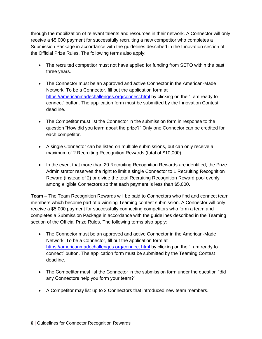through the mobilization of relevant talents and resources in their network. A Connector will only receive a \$5,000 payment for successfully recruiting a new competitor who completes a Submission Package in accordance with the guidelines described in the Innovation section of the Official Prize Rules. The following terms also apply:

- The recruited competitor must not have applied for funding from SETO within the past three years.
- The Connector must be an approved and active Connector in the American-Made Network. To be a Connector, fill out the application form at <https://americanmadechallenges.org/connect.html> by clicking on the "I am ready to connect" button. The application form must be submitted by the Innovation Contest deadline.
- The Competitor must list the Connector in the submission form in response to the question "How did you learn about the prize?" Only one Connector can be credited for each competitor.
- A single Connector can be listed on multiple submissions, but can only receive a maximum of 2 Recruiting Recognition Rewards (total of \$10,000).
- In the event that more than 20 Recruiting Recognition Rewards are identified, the Prize Administrator reserves the right to limit a single Connector to 1 Recruiting Recognition Reward (instead of 2) or divide the total Recruiting Recognition Reward pool evenly among eligible Connectors so that each payment is less than \$5,000.

**Team** – The Team Recognition Rewards will be paid to Connectors who find and connect team members which become part of a winning Teaming contest submission. A Connector will only receive a \$5,000 payment for successfully connecting competitors who form a team and completes a Submission Package in accordance with the guidelines described in the Teaming section of the Official Prize Rules. The following terms also apply:

- The Connector must be an approved and active Connector in the American-Made Network. To be a Connector, fill out the application form at <https://americanmadechallenges.org/connect.html> by clicking on the "I am ready to connect" button. The application form must be submitted by the Teaming Contest deadline.
- The Competitor must list the Connector in the submission form under the question "did" any Connectors help you form your team?"
- A Competitor may list up to 2 Connectors that introduced new team members.